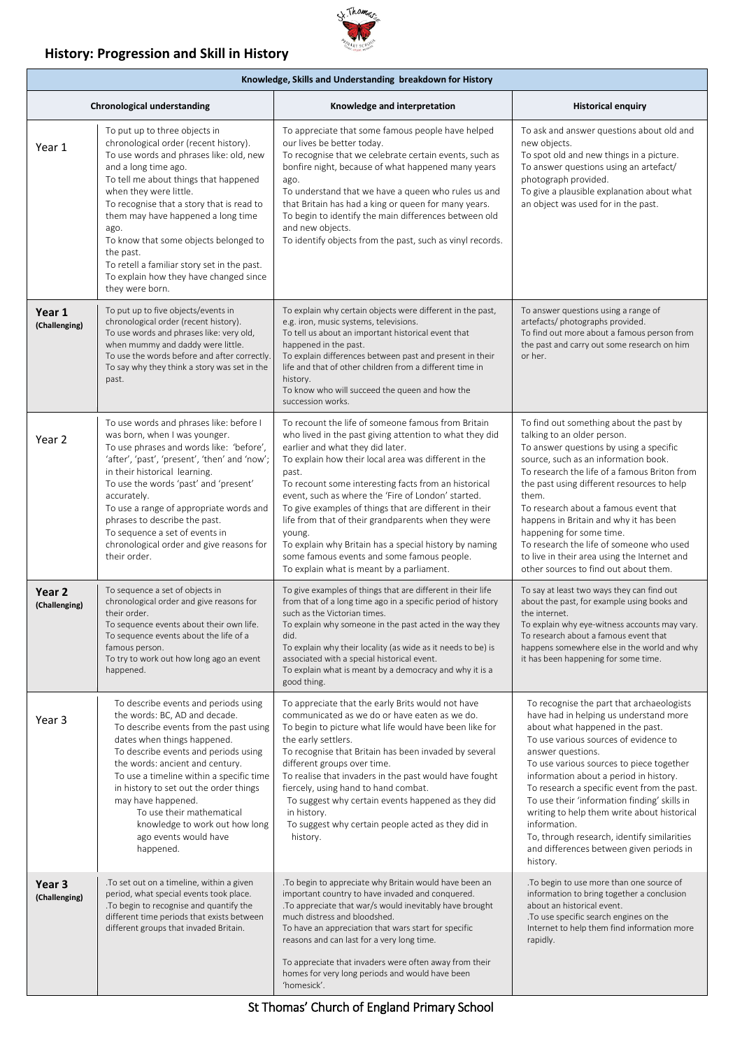### **History: Progression and Skill in History**



| Knowledge, Skills and Understanding breakdown for History |                                                                                                                                                                                                                                                                                                                                                                                                                                                                           |                                                                                                                                                                                                                                                                                                                                                                                                                                                                                                                                                                                                                  |                                                                                                                                                                                                                                                                                                                                                                                                                                                                                                                                                  |  |  |  |
|-----------------------------------------------------------|---------------------------------------------------------------------------------------------------------------------------------------------------------------------------------------------------------------------------------------------------------------------------------------------------------------------------------------------------------------------------------------------------------------------------------------------------------------------------|------------------------------------------------------------------------------------------------------------------------------------------------------------------------------------------------------------------------------------------------------------------------------------------------------------------------------------------------------------------------------------------------------------------------------------------------------------------------------------------------------------------------------------------------------------------------------------------------------------------|--------------------------------------------------------------------------------------------------------------------------------------------------------------------------------------------------------------------------------------------------------------------------------------------------------------------------------------------------------------------------------------------------------------------------------------------------------------------------------------------------------------------------------------------------|--|--|--|
| <b>Chronological understanding</b>                        |                                                                                                                                                                                                                                                                                                                                                                                                                                                                           | Knowledge and interpretation                                                                                                                                                                                                                                                                                                                                                                                                                                                                                                                                                                                     | <b>Historical enquiry</b>                                                                                                                                                                                                                                                                                                                                                                                                                                                                                                                        |  |  |  |
| Year 1                                                    | To put up to three objects in<br>chronological order (recent history).<br>To use words and phrases like: old, new<br>and a long time ago.<br>To tell me about things that happened<br>when they were little.<br>To recognise that a story that is read to<br>them may have happened a long time<br>ago.<br>To know that some objects belonged to<br>the past.<br>To retell a familiar story set in the past.<br>To explain how they have changed since<br>they were born. | To appreciate that some famous people have helped<br>our lives be better today.<br>To recognise that we celebrate certain events, such as<br>bonfire night, because of what happened many years<br>ago.<br>To understand that we have a queen who rules us and<br>that Britain has had a king or queen for many years.<br>To begin to identify the main differences between old<br>and new objects.<br>To identify objects from the past, such as vinyl records.                                                                                                                                                 | To ask and answer questions about old and<br>new objects.<br>To spot old and new things in a picture.<br>To answer questions using an artefact/<br>photograph provided.<br>To give a plausible explanation about what<br>an object was used for in the past.                                                                                                                                                                                                                                                                                     |  |  |  |
| Year 1<br>(Challenging)                                   | To put up to five objects/events in<br>chronological order (recent history).<br>To use words and phrases like: very old,<br>when mummy and daddy were little.<br>To use the words before and after correctly.<br>To say why they think a story was set in the<br>past.                                                                                                                                                                                                    | To explain why certain objects were different in the past,<br>e.g. iron, music systems, televisions.<br>To tell us about an important historical event that<br>happened in the past.<br>To explain differences between past and present in their<br>life and that of other children from a different time in<br>history.<br>To know who will succeed the queen and how the<br>succession works.                                                                                                                                                                                                                  | To answer questions using a range of<br>artefacts/ photographs provided.<br>To find out more about a famous person from<br>the past and carry out some research on him<br>or her.                                                                                                                                                                                                                                                                                                                                                                |  |  |  |
| Year 2                                                    | To use words and phrases like: before I<br>was born, when I was younger.<br>To use phrases and words like: 'before',<br>'after', 'past', 'present', 'then' and 'now';<br>in their historical learning.<br>To use the words 'past' and 'present'<br>accurately.<br>To use a range of appropriate words and<br>phrases to describe the past.<br>To sequence a set of events in<br>chronological order and give reasons for<br>their order.                                  | To recount the life of someone famous from Britain<br>who lived in the past giving attention to what they did<br>earlier and what they did later.<br>To explain how their local area was different in the<br>past.<br>To recount some interesting facts from an historical<br>event, such as where the 'Fire of London' started.<br>To give examples of things that are different in their<br>life from that of their grandparents when they were<br>young.<br>To explain why Britain has a special history by naming<br>some famous events and some famous people.<br>To explain what is meant by a parliament. | To find out something about the past by<br>talking to an older person.<br>To answer questions by using a specific<br>source, such as an information book.<br>To research the life of a famous Briton from<br>the past using different resources to help<br>them.<br>To research about a famous event that<br>happens in Britain and why it has been<br>happening for some time.<br>To research the life of someone who used<br>to live in their area using the Internet and<br>other sources to find out about them.                             |  |  |  |
| Year 2<br>(Challenging)                                   | To sequence a set of objects in<br>chronological order and give reasons for<br>their order.<br>To sequence events about their own life.<br>To sequence events about the life of a<br>famous person.<br>To try to work out how long ago an event<br>happened.                                                                                                                                                                                                              | To give examples of things that are different in their life<br>from that of a long time ago in a specific period of history<br>such as the Victorian times.<br>To explain why someone in the past acted in the way they<br>did.<br>To explain why their locality (as wide as it needs to be) is<br>associated with a special historical event.<br>To explain what is meant by a democracy and why it is a<br>good thing.                                                                                                                                                                                         | To say at least two ways they can find out<br>about the past, for example using books and<br>the internet.<br>To explain why eye-witness accounts may vary.<br>To research about a famous event that<br>happens somewhere else in the world and why<br>it has been happening for some time.                                                                                                                                                                                                                                                      |  |  |  |
| Year 3                                                    | To describe events and periods using<br>the words: BC, AD and decade.<br>To describe events from the past using<br>dates when things happened.<br>To describe events and periods using<br>the words: ancient and century.<br>To use a timeline within a specific time<br>in history to set out the order things<br>may have happened.<br>To use their mathematical<br>knowledge to work out how long<br>ago events would have<br>happened.                                | To appreciate that the early Brits would not have<br>communicated as we do or have eaten as we do.<br>To begin to picture what life would have been like for<br>the early settlers.<br>To recognise that Britain has been invaded by several<br>different groups over time.<br>To realise that invaders in the past would have fought<br>fiercely, using hand to hand combat.<br>To suggest why certain events happened as they did<br>in history.<br>To suggest why certain people acted as they did in<br>history.                                                                                             | To recognise the part that archaeologists<br>have had in helping us understand more<br>about what happened in the past.<br>To use various sources of evidence to<br>answer questions.<br>To use various sources to piece together<br>information about a period in history.<br>To research a specific event from the past.<br>To use their 'information finding' skills in<br>writing to help them write about historical<br>information.<br>To, through research, identify similarities<br>and differences between given periods in<br>history. |  |  |  |
| Year 3<br>(Challenging)                                   | .To set out on a timeline, within a given<br>period, what special events took place.<br>. To begin to recognise and quantify the<br>different time periods that exists between<br>different groups that invaded Britain.                                                                                                                                                                                                                                                  | .To begin to appreciate why Britain would have been an<br>important country to have invaded and conquered.<br>. To appreciate that war/s would inevitably have brought<br>much distress and bloodshed.<br>To have an appreciation that wars start for specific<br>reasons and can last for a very long time.<br>To appreciate that invaders were often away from their<br>homes for very long periods and would have been<br>'homesick'.                                                                                                                                                                         | .To begin to use more than one source of<br>information to bring together a conclusion<br>about an historical event.<br>. To use specific search engines on the<br>Internet to help them find information more<br>rapidly.                                                                                                                                                                                                                                                                                                                       |  |  |  |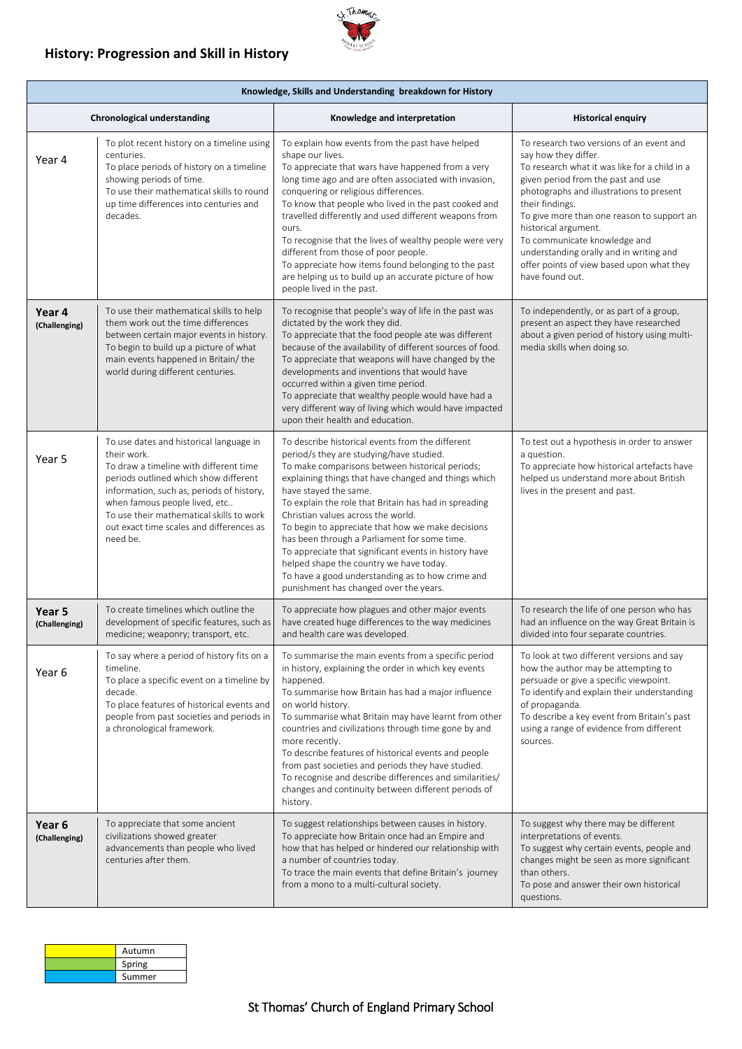## **History: Progression and Skill in History**



| Knowledge, Skills and Understanding breakdown for History |                                                                                                                                                                                                                                                                                                                             |                                                                                                                                                                                                                                                                                                                                                                                                                                                                                                                                                                                                                                        |                                                                                                                                                                                                                                                                                                                                                                                                                                         |  |  |
|-----------------------------------------------------------|-----------------------------------------------------------------------------------------------------------------------------------------------------------------------------------------------------------------------------------------------------------------------------------------------------------------------------|----------------------------------------------------------------------------------------------------------------------------------------------------------------------------------------------------------------------------------------------------------------------------------------------------------------------------------------------------------------------------------------------------------------------------------------------------------------------------------------------------------------------------------------------------------------------------------------------------------------------------------------|-----------------------------------------------------------------------------------------------------------------------------------------------------------------------------------------------------------------------------------------------------------------------------------------------------------------------------------------------------------------------------------------------------------------------------------------|--|--|
|                                                           | <b>Chronological understanding</b>                                                                                                                                                                                                                                                                                          | Knowledge and interpretation                                                                                                                                                                                                                                                                                                                                                                                                                                                                                                                                                                                                           | <b>Historical enquiry</b>                                                                                                                                                                                                                                                                                                                                                                                                               |  |  |
| Year 4                                                    | To plot recent history on a timeline using<br>centuries.<br>To place periods of history on a timeline<br>showing periods of time.<br>To use their mathematical skills to round<br>up time differences into centuries and<br>decades.                                                                                        | To explain how events from the past have helped<br>shape our lives.<br>To appreciate that wars have happened from a very<br>long time ago and are often associated with invasion,<br>conquering or religious differences.<br>To know that people who lived in the past cooked and<br>travelled differently and used different weapons from<br>ours.<br>To recognise that the lives of wealthy people were very<br>different from those of poor people.<br>To appreciate how items found belonging to the past<br>are helping us to build up an accurate picture of how<br>people lived in the past.                                    | To research two versions of an event and<br>say how they differ.<br>To research what it was like for a child in a<br>given period from the past and use<br>photographs and illustrations to present<br>their findings.<br>To give more than one reason to support an<br>historical argument.<br>To communicate knowledge and<br>understanding orally and in writing and<br>offer points of view based upon what they<br>have found out. |  |  |
| Year 4<br>(Challenging)                                   | To use their mathematical skills to help<br>them work out the time differences<br>between certain major events in history.<br>To begin to build up a picture of what<br>main events happened in Britain/the<br>world during different centuries.                                                                            | To recognise that people's way of life in the past was<br>dictated by the work they did.<br>To appreciate that the food people ate was different<br>because of the availability of different sources of food.<br>To appreciate that weapons will have changed by the<br>developments and inventions that would have<br>occurred within a given time period.<br>To appreciate that wealthy people would have had a<br>very different way of living which would have impacted<br>upon their health and education.                                                                                                                        | To independently, or as part of a group,<br>present an aspect they have researched<br>about a given period of history using multi-<br>media skills when doing so.                                                                                                                                                                                                                                                                       |  |  |
| Year 5                                                    | To use dates and historical language in<br>their work.<br>To draw a timeline with different time<br>periods outlined which show different<br>information, such as, periods of history,<br>when famous people lived, etc<br>To use their mathematical skills to work<br>out exact time scales and differences as<br>need be. | To describe historical events from the different<br>period/s they are studying/have studied.<br>To make comparisons between historical periods;<br>explaining things that have changed and things which<br>have stayed the same.<br>To explain the role that Britain has had in spreading<br>Christian values across the world.<br>To begin to appreciate that how we make decisions<br>has been through a Parliament for some time.<br>To appreciate that significant events in history have<br>helped shape the country we have today.<br>To have a good understanding as to how crime and<br>punishment has changed over the years. | To test out a hypothesis in order to answer<br>a question.<br>To appreciate how historical artefacts have<br>helped us understand more about British<br>lives in the present and past.                                                                                                                                                                                                                                                  |  |  |
| Year <sub>5</sub><br>(Challenging)                        | To create timelines which outline the<br>development of specific features, such as<br>medicine; weaponry; transport, etc.                                                                                                                                                                                                   | To appreciate how plagues and other major events<br>have created huge differences to the way medicines<br>and health care was developed.                                                                                                                                                                                                                                                                                                                                                                                                                                                                                               | To research the life of one person who has<br>had an influence on the way Great Britain is<br>divided into four separate countries.                                                                                                                                                                                                                                                                                                     |  |  |
| Year 6                                                    | To say where a period of history fits on a<br>timeline.<br>To place a specific event on a timeline by<br>decade.<br>To place features of historical events and<br>people from past societies and periods in<br>a chronological framework.                                                                                   | To summarise the main events from a specific period<br>in history, explaining the order in which key events<br>happened.<br>To summarise how Britain has had a major influence<br>on world history.<br>To summarise what Britain may have learnt from other<br>countries and civilizations through time gone by and<br>more recently.<br>To describe features of historical events and people<br>from past societies and periods they have studied.<br>To recognise and describe differences and similarities/<br>changes and continuity between different periods of<br>history.                                                      | To look at two different versions and say<br>how the author may be attempting to<br>persuade or give a specific viewpoint.<br>To identify and explain their understanding<br>of propaganda.<br>To describe a key event from Britain's past<br>using a range of evidence from different<br>sources.                                                                                                                                      |  |  |
| Year <sub>6</sub><br>(Challenging)                        | To appreciate that some ancient<br>civilizations showed greater<br>advancements than people who lived<br>centuries after them.                                                                                                                                                                                              | To suggest relationships between causes in history.<br>To appreciate how Britain once had an Empire and<br>how that has helped or hindered our relationship with<br>a number of countries today.<br>To trace the main events that define Britain's journey<br>from a mono to a multi-cultural society.                                                                                                                                                                                                                                                                                                                                 | To suggest why there may be different<br>interpretations of events.<br>To suggest why certain events, people and<br>changes might be seen as more significant<br>than others.<br>To pose and answer their own historical<br>questions.                                                                                                                                                                                                  |  |  |

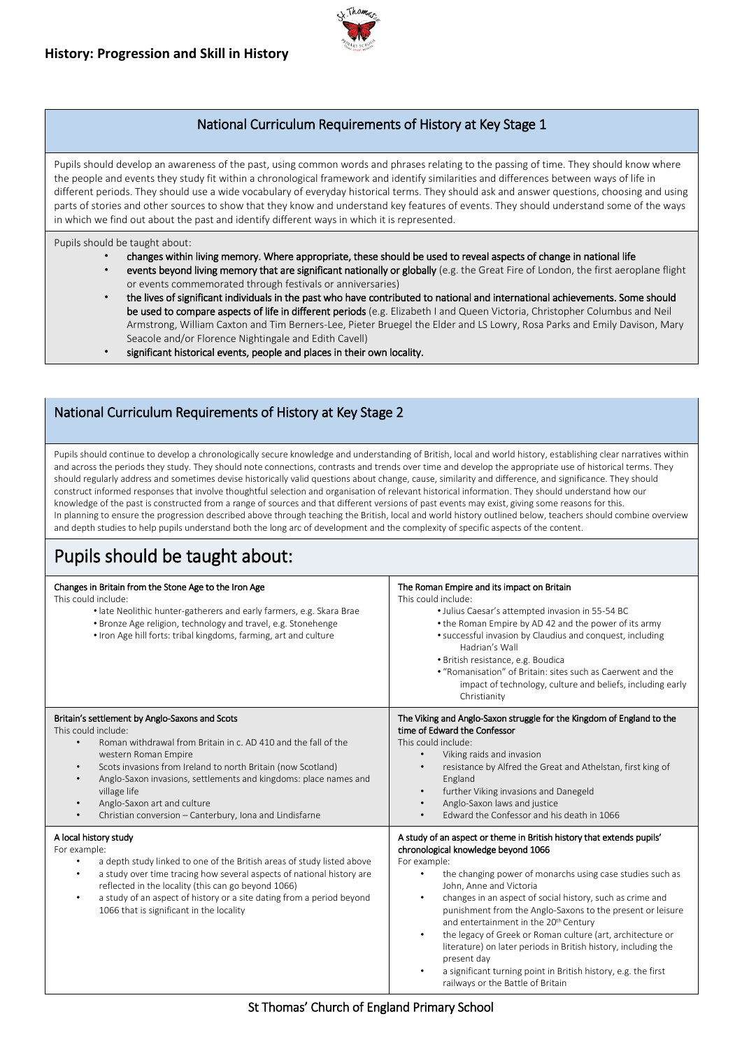

## National Curriculum Requirements of History at Key Stage 1

Pupils should develop an awareness of the past, using common words and phrases relating to the passing of time. They should know where the people and events they study fit within a chronological framework and identify similarities and differences between ways of life in different periods. They should use a wide vocabulary of everyday historical terms. They should ask and answer questions, choosing and using parts of stories and other sources to show that they know and understand key features of events. They should understand some of the ways in which we find out about the past and identify different ways in which it is represented.

Pupils should be taught about:

- changes within living memory. Where appropriate, these should be used to reveal aspects of change in national life events beyond living memory that are significant nationally or globally (e.g. the Great Fire of London, the first aeroplane flight
- or events commemorated through festivals or anniversaries)
- the lives of significant individuals in the past who have contributed to national and international achievements. Some should be used to compare aspects of life in different periods (e.g. Elizabeth I and Queen Victoria, Christopher Columbus and Neil Armstrong, William Caxton and Tim Berners-Lee, Pieter Bruegel the Elder and LS Lowry, Rosa Parks and Emily Davison, Mary Seacole and/or Florence Nightingale and Edith Cavell)
- significant historical events, people and places in their own locality.

#### National Curriculum Requirements of History at Key Stage 2

Pupils should continue to develop a chronologically secure knowledge and understanding of British, local and world history, establishing clear narratives within and across the periods they study. They should note connections, contrasts and trends over time and develop the appropriate use of historical terms. They should regularly address and sometimes devise historically valid questions about change, cause, similarity and difference, and significance. They should construct informed responses that involve thoughtful selection and organisation of relevant historical information. They should understand how our knowledge of the past is constructed from a range of sources and that different versions of past events may exist, giving some reasons for this. In planning to ensure the progression described above through teaching the British, local and world history outlined below, teachers should combine overview and depth studies to help pupils understand both the long arc of development and the complexity of specific aspects of the content.

# Pupils should be taught about:

| Changes in Britain from the Stone Age to the Iron Age<br>This could include:<br>• late Neolithic hunter-gatherers and early farmers, e.g. Skara Brae<br>• Bronze Age religion, technology and travel, e.g. Stonehenge<br>. Iron Age hill forts: tribal kingdoms, farming, art and culture                                                                                                                                                                                      | The Roman Empire and its impact on Britain<br>This could include:<br>• Julius Caesar's attempted invasion in 55-54 BC<br>• the Roman Empire by AD 42 and the power of its army<br>• successful invasion by Claudius and conquest, including<br>Hadrian's Wall<br>· British resistance, e.g. Boudica<br>• "Romanisation" of Britain: sites such as Caerwent and the<br>impact of technology, culture and beliefs, including early<br>Christianity                                                                                                                                                                                                                                                               |
|--------------------------------------------------------------------------------------------------------------------------------------------------------------------------------------------------------------------------------------------------------------------------------------------------------------------------------------------------------------------------------------------------------------------------------------------------------------------------------|----------------------------------------------------------------------------------------------------------------------------------------------------------------------------------------------------------------------------------------------------------------------------------------------------------------------------------------------------------------------------------------------------------------------------------------------------------------------------------------------------------------------------------------------------------------------------------------------------------------------------------------------------------------------------------------------------------------|
| Britain's settlement by Anglo-Saxons and Scots<br>This could include:<br>Roman withdrawal from Britain in c. AD 410 and the fall of the<br>$\bullet$<br>western Roman Empire<br>Scots invasions from Ireland to north Britain (now Scotland)<br>$\bullet$<br>Anglo-Saxon invasions, settlements and kingdoms: place names and<br>$\bullet$<br>village life<br>Anglo-Saxon art and culture<br>$\bullet$<br>Christian conversion - Canterbury, Iona and Lindisfarne<br>$\bullet$ | The Viking and Anglo-Saxon struggle for the Kingdom of England to the<br>time of Edward the Confessor<br>This could include:<br>Viking raids and invasion<br>$\bullet$<br>resistance by Alfred the Great and Athelstan, first king of<br>$\bullet$<br>England<br>further Viking invasions and Danegeld<br>$\bullet$<br>Anglo-Saxon laws and justice<br>$\bullet$<br>Edward the Confessor and his death in 1066                                                                                                                                                                                                                                                                                                 |
| A local history study<br>For example:<br>a depth study linked to one of the British areas of study listed above<br>$\bullet$<br>a study over time tracing how several aspects of national history are<br>$\bullet$<br>reflected in the locality (this can go beyond 1066)<br>a study of an aspect of history or a site dating from a period beyond<br>$\bullet$<br>1066 that is significant in the locality                                                                    | A study of an aspect or theme in British history that extends pupils'<br>chronological knowledge beyond 1066<br>For example:<br>the changing power of monarchs using case studies such as<br>$\bullet$<br>John, Anne and Victoria<br>changes in an aspect of social history, such as crime and<br>$\bullet$<br>punishment from the Anglo-Saxons to the present or leisure<br>and entertainment in the 20 <sup>th</sup> Century<br>the legacy of Greek or Roman culture (art, architecture or<br>$\bullet$<br>literature) on later periods in British history, including the<br>present day<br>a significant turning point in British history, e.g. the first<br>$\bullet$<br>railways or the Battle of Britain |